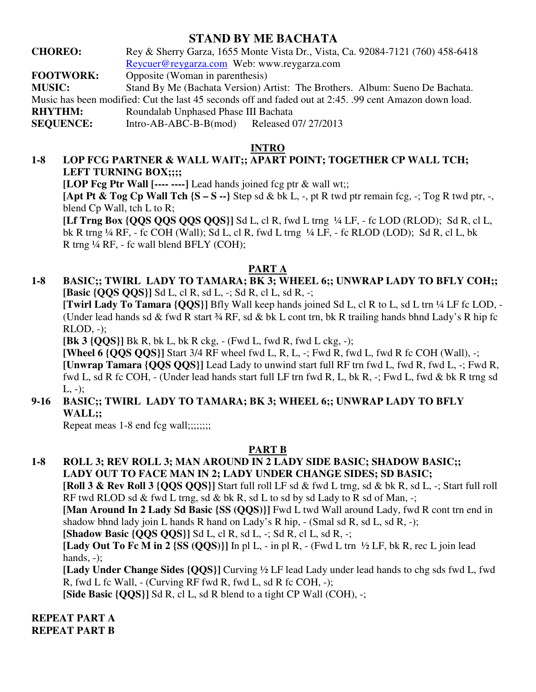# **STAND BY ME BACHATA**

**CHOREO:** Rey & Sherry Garza, 1655 Monte Vista Dr., Vista, Ca. 92084-7121 (760) 458-6418 Reycuer@reygarza.com Web: www.reygarza.com

**FOOTWORK:** Opposite (Woman in parenthesis)

**MUSIC:** Stand By Me (Bachata Version) Artist: The Brothers. Album: Sueno De Bachata.

Music has been modified: Cut the last 45 seconds off and faded out at 2:45. .99 cent Amazon down load.

**RHYTHM:** Roundalab Unphased Phase III Bachata

**SEQUENCE:** Intro-AB-ABC-B-B(mod) Released 07/ 27/2013

# **INTRO**

# **1-8 LOP FCG PARTNER & WALL WAIT;; APART POINT; TOGETHER CP WALL TCH;**  LEFT TURNING BOX;;;;

**[LOP Fcg Ptr Wall [---- ----]** Lead hands joined fcg ptr & wall wt;;

**[Apt Pt & Tog Cp Wall Tch**  $\{S - S - \}$  Step sd & bk L, -, pt R twd ptr remain fcg, -; Tog R twd ptr, -, blend Cp Wall, tch L to R;

 **[Lf Trng Box {QQS QQS QQS QQS}]** Sd L, cl R, fwd L trng ¼ LF, - fc LOD (RLOD); Sd R, cl L, bk R trng ¼ RF, - fc COH (Wall); Sd L, cl R, fwd L trng ¼ LF, - fc RLOD (LOD); Sd R, cl L, bk R trng ¼ RF, - fc wall blend BFLY (COH);

# **PART A**

**1-8 BASIC;; TWIRL LADY TO TAMARA; BK 3; WHEEL 6;; UNWRAP LADY TO BFLY COH;; [Basic {QQS QQS}]** Sd L, cl R, sd L, -; Sd R, cl L, sd R, -;

**[Twirl Lady To Tamara {QQS}]** Bfly Wall keep hands joined Sd L, cl R to L, sd L trn ¼ LF fc LOD, - (Under lead hands sd & fwd R start ¾ RF, sd & bk L cont trn, bk R trailing hands bhnd Lady's R hip fc RLOD, -);

**[Bk 3 {QQS}]** Bk R, bk L, bk R ckg, - (Fwd L, fwd R, fwd L ckg, -);

**[Wheel 6 {QQS QQS}]** Start 3/4 RF wheel fwd L, R, L, -; Fwd R, fwd L, fwd R fc COH (Wall), -; **[Unwrap Tamara {QQS QQS}]** Lead Lady to unwind start full RF trn fwd L, fwd R, fwd L, -; Fwd R, fwd L, sd R fc COH, - (Under lead hands start full LF trn fwd R, L, bk R, -; Fwd L, fwd & bk R trng sd  $L, -)$ ;

#### **9-16 BASIC;; TWIRL LADY TO TAMARA; BK 3; WHEEL 6;; UNWRAP LADY TO BFLY WALL;;**

Repeat meas 1-8 end fcg wall;;;;;;;;;

### **PART B**

**1-8 ROLL 3; REV ROLL 3; MAN AROUND IN 2 LADY SIDE BASIC; SHADOW BASIC;; LADY OUT TO FACE MAN IN 2; LADY UNDER CHANGE SIDES; SD BASIC;** 

**[Roll 3 & Rev Roll 3 {QQS QQS}]** Start full roll LF sd & fwd L trng, sd & bk R, sd L, -; Start full roll RF twd RLOD sd  $\&$  fwd L trng, sd  $\&$  bk R, sd L to sd by sd Lady to R sd of Man, -;

**[Man Around In 2 Lady Sd Basic {SS (QQS)}]** Fwd L twd Wall around Lady, fwd R cont trn end in shadow bhnd lady join L hands R hand on Lady's R hip, - (Smal sd R, sd L, sd R, -);

**[Shadow Basic {QQS QQS}]** Sd L, cl R, sd L, -; Sd R, cl L, sd R, -;

**[Lady Out To Fc M in 2 {SS (QQS)}]** In pl L, - in pl R, - (Fwd L trn ½ LF, bk R, rec L join lead hands, -);

**[Lady Under Change Sides {QQS}]** Curving ½ LF lead Lady under lead hands to chg sds fwd L, fwd R, fwd L fc Wall, - (Curving RF fwd R, fwd L, sd R fc COH, -);

**[Side Basic {QQS}]** Sd R, cl L, sd R blend to a tight CP Wall (COH), -;

**REPEAT PART A REPEAT PART B**